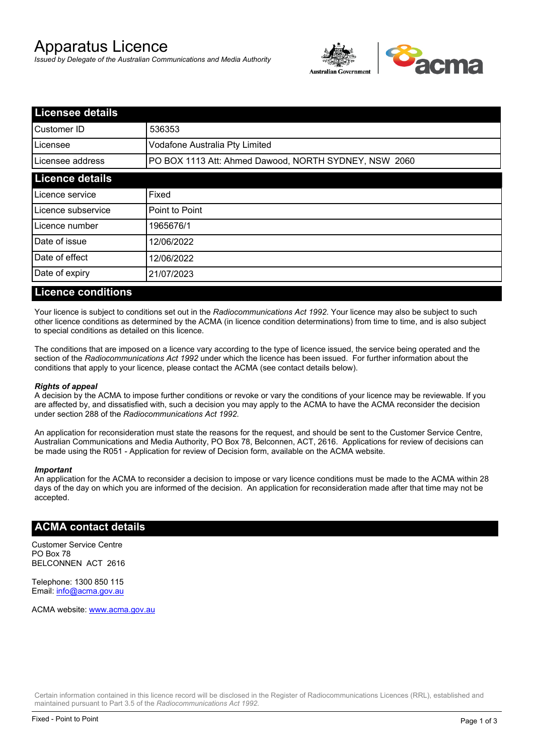# Apparatus Licence

*Issued by Delegate of the Australian Communications and Media Authority*



| <b>Licensee details</b> |                                                       |  |
|-------------------------|-------------------------------------------------------|--|
| lCustomer ID            | 536353                                                |  |
| l Licensee              | Vodafone Australia Pty Limited                        |  |
| Licensee address        | PO BOX 1113 Att: Ahmed Dawood, NORTH SYDNEY, NSW 2060 |  |
| <b>Licence details</b>  |                                                       |  |
| Licence service         | Fixed                                                 |  |
| Licence subservice      | Point to Point                                        |  |
| Licence number          | 1965676/1                                             |  |
| Date of issue           | 12/06/2022                                            |  |
| Date of effect          | 12/06/2022                                            |  |
| Date of expiry          | 21/07/2023                                            |  |
|                         |                                                       |  |

#### **Licence conditions**

Your licence is subject to conditions set out in the *Radiocommunications Act 1992*. Your licence may also be subject to such other licence conditions as determined by the ACMA (in licence condition determinations) from time to time, and is also subject to special conditions as detailed on this licence.

The conditions that are imposed on a licence vary according to the type of licence issued, the service being operated and the section of the *Radiocommunications Act 1992* under which the licence has been issued. For further information about the conditions that apply to your licence, please contact the ACMA (see contact details below).

#### *Rights of appeal*

A decision by the ACMA to impose further conditions or revoke or vary the conditions of your licence may be reviewable. If you are affected by, and dissatisfied with, such a decision you may apply to the ACMA to have the ACMA reconsider the decision under section 288 of the *Radiocommunications Act 1992*.

An application for reconsideration must state the reasons for the request, and should be sent to the Customer Service Centre, Australian Communications and Media Authority, PO Box 78, Belconnen, ACT, 2616. Applications for review of decisions can be made using the R051 - Application for review of Decision form, available on the ACMA website.

#### *Important*

An application for the ACMA to reconsider a decision to impose or vary licence conditions must be made to the ACMA within 28 days of the day on which you are informed of the decision. An application for reconsideration made after that time may not be accepted.

#### **ACMA contact details**

Customer Service Centre PO Box 78 BELCONNEN ACT 2616

Telephone: 1300 850 115 Email: info@acma.gov.au

ACMA website: www.acma.gov.au

Certain information contained in this licence record will be disclosed in the Register of Radiocommunications Licences (RRL), established and maintained pursuant to Part 3.5 of the *Radiocommunications Act 1992.*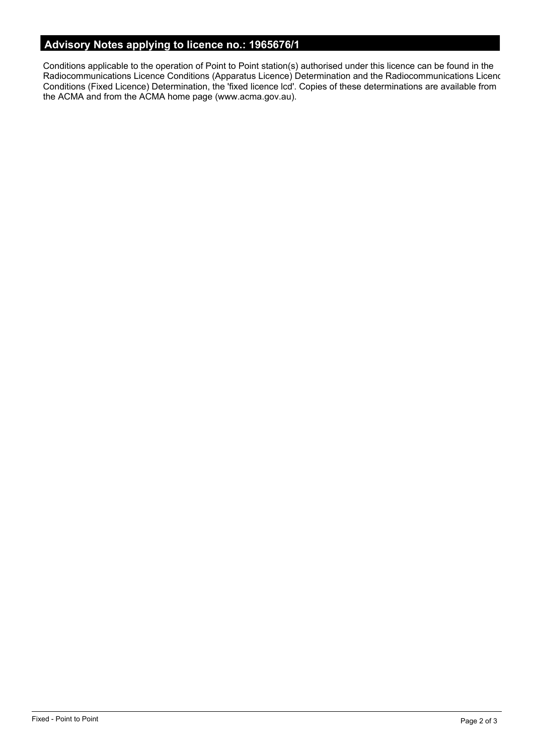# **Advisory Notes applying to licence no.: 1965676/1**

Conditions applicable to the operation of Point to Point station(s) authorised under this licence can be found in the Radiocommunications Licence Conditions (Apparatus Licence) Determination and the Radiocommunications Licence Conditions (Fixed Licence) Determination, the 'fixed licence lcd'. Copies of these determinations are available from the ACMA and from the ACMA home page (www.acma.gov.au).